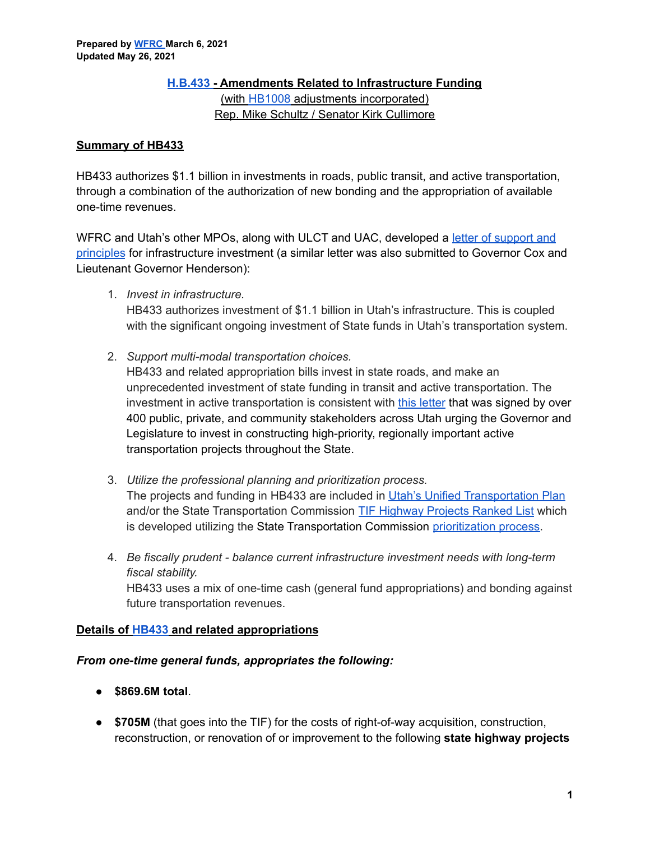#### **[H.B.433](https://le.utah.gov/~2021/bills/static/HB0433.html) - Amendments Related to Infrastructure Funding**

(with [HB1008](https://le.utah.gov/~2021S1/bills/static/HB1008.html) adjustments incorporated) Rep. Mike Schultz / Senator Kirk Cullimore

# **Summary of HB433**

HB433 authorizes \$1.1 billion in investments in roads, public transit, and active transportation, through a combination of the authorization of new bonding and the appropriation of available one-time revenues.

WFRC and Utah's other MPOs, along with ULCT and UAC, developed a letter of [support](https://wfrc.org/PublicInvolvement/GovernmentalAffairs/JointLetterofSupportforInfrastructureInvestmentLegislature.pdf) and [principles](https://wfrc.org/PublicInvolvement/GovernmentalAffairs/JointLetterofSupportforInfrastructureInvestmentLegislature.pdf) for infrastructure investment (a similar letter was also submitted to Governor Cox and Lieutenant Governor Henderson):

1. *Invest in infrastructure.*

HB433 authorizes investment of \$1.1 billion in Utah's infrastructure. This is coupled with the significant ongoing investment of State funds in Utah's transportation system.

2. *Support multi-modal transportation choices.*

HB433 and related appropriation bills invest in state roads, and make an unprecedented investment of state funding in transit and active transportation. The investment in active transportation is consistent with this [letter](https://unifiedplan.org/healthier-more-connected-utah/) that was signed by over 400 public, private, and community stakeholders across Utah urging the Governor and Legislature to invest in constructing high-priority, regionally important active transportation projects throughout the State.

- 3. *Utilize the professional planning and prioritization process.* The projects and funding in HB433 are included in Utah's Unified [Transportation](https://unifiedplan.org/) Plan and/or the State Transportation Commission TIF [Highway](https://drive.google.com/file/d/1Zm6HXhj0GCzoucb_7Q_KX1ISjsKp5mX_/view) Projects Ranked List which is developed utilizing the State Transportation Commission [prioritization](https://www.udot.utah.gov/connect/about-us/commission/project-prioritization-process/) process.
- 4. *Be fiscally prudent - balance current infrastructure investment needs with long-term fiscal stability.* HB433 uses a mix of one-time cash (general fund appropriations) and bonding against future transportation revenues.

# **Details of [HB433](https://le.utah.gov/~2021/bills/static/HB0433.html) and related appropriations**

# *From one-time general funds, appropriates the following:*

- **\$869.6M total**.
- **\$705M** (that goes into the TIF) for the costs of right-of-way acquisition, construction, reconstruction, or renovation of or improvement to the following **state highway projects**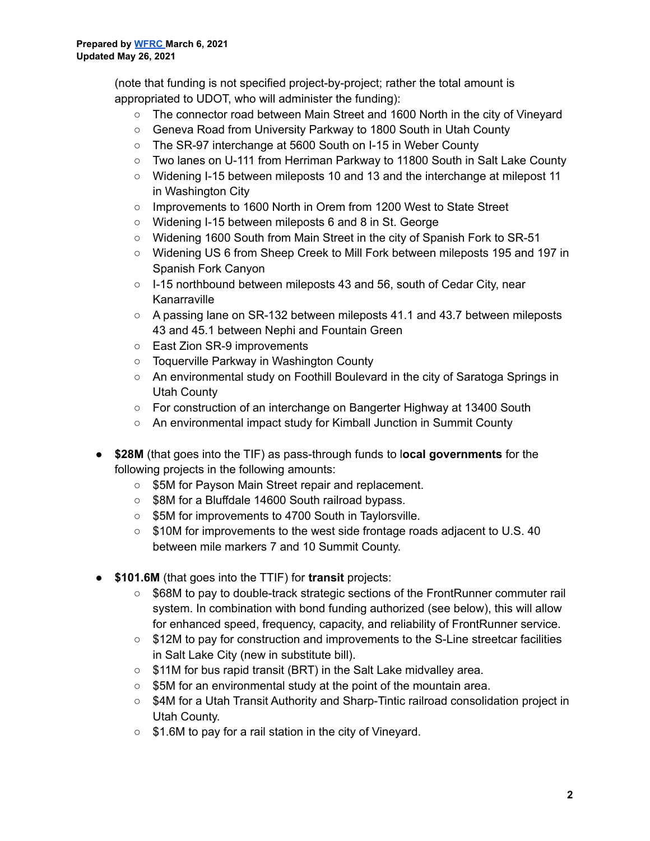(note that funding is not specified project-by-project; rather the total amount is appropriated to UDOT, who will administer the funding):

- The connector road between Main Street and 1600 North in the city of Vineyard
- Geneva Road from University Parkway to 1800 South in Utah County
- The SR-97 interchange at 5600 South on I-15 in Weber County
- Two lanes on U-111 from Herriman Parkway to 11800 South in Salt Lake County
- Widening I-15 between mileposts 10 and 13 and the interchange at milepost 11 in Washington City
- Improvements to 1600 North in Orem from 1200 West to State Street
- Widening I-15 between mileposts 6 and 8 in St. George
- Widening 1600 South from Main Street in the city of Spanish Fork to SR-51
- Widening US 6 from Sheep Creek to Mill Fork between mileposts 195 and 197 in Spanish Fork Canyon
- I-15 northbound between mileposts 43 and 56, south of Cedar City, near Kanarraville
- A passing lane on SR-132 between mileposts 41.1 and 43.7 between mileposts 43 and 45.1 between Nephi and Fountain Green
- East Zion SR-9 improvements
- Toquerville Parkway in Washington County
- An environmental study on Foothill Boulevard in the city of Saratoga Springs in Utah County
- For construction of an interchange on Bangerter Highway at 13400 South
- An environmental impact study for Kimball Junction in Summit County
- **\$28M** (that goes into the TIF) as pass-through funds to l**ocal governments** for the following projects in the following amounts:
	- \$5M for Payson Main Street repair and replacement.
	- \$8M for a Bluffdale 14600 South railroad bypass.
	- \$5M for improvements to 4700 South in Taylorsville.
	- \$10M for improvements to the west side frontage roads adjacent to U.S. 40 between mile markers 7 and 10 Summit County.
- **\$101.6M** (that goes into the TTIF) for **transit** projects:
	- \$68M to pay to double-track strategic sections of the FrontRunner commuter rail system. In combination with bond funding authorized (see below), this will allow for enhanced speed, frequency, capacity, and reliability of FrontRunner service.
	- \$12M to pay for construction and improvements to the S-Line streetcar facilities in Salt Lake City (new in substitute bill).
	- \$11M for bus rapid transit (BRT) in the Salt Lake midvalley area.
	- \$5M for an environmental study at the point of the mountain area.
	- \$4M for a Utah Transit Authority and Sharp-Tintic railroad consolidation project in Utah County.
	- \$1.6M to pay for a rail station in the city of Vineyard.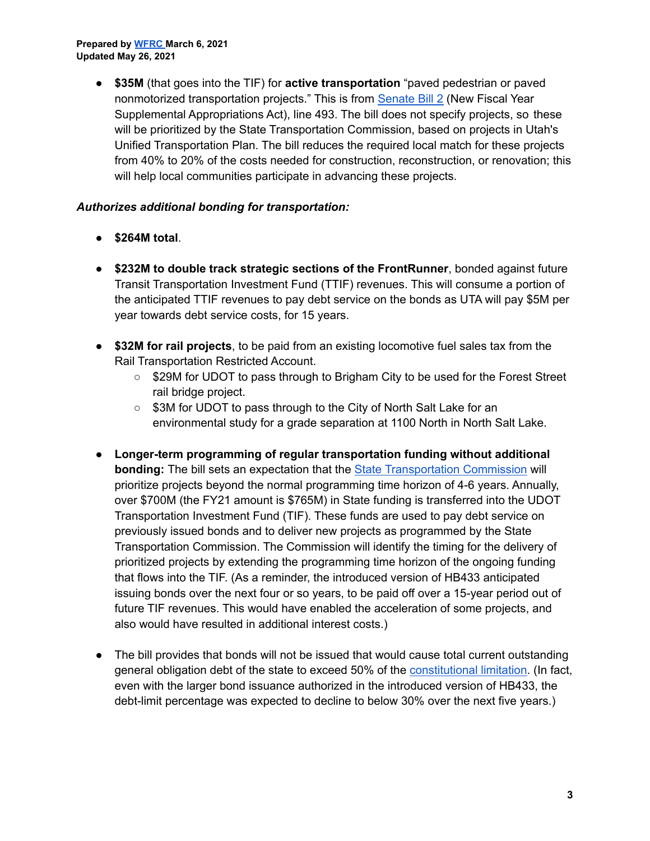● **\$35M** (that goes into the TIF) for **active transportation** "paved pedestrian or paved nonmotorized transportation projects." This is from [Senate](https://le.utah.gov/~2021/bills/static/SB0002.html) Bill 2 (New Fiscal Year Supplemental Appropriations Act), line 493. The bill does not specify projects, so these will be prioritized by the State Transportation Commission, based on projects in Utah's Unified Transportation Plan. The bill reduces the required local match for these projects from 40% to 20% of the costs needed for construction, reconstruction, or renovation; this will help local communities participate in advancing these projects.

#### *Authorizes additional bonding for transportation:*

- **\$264M total**.
- **\$232M to double track strategic sections of the FrontRunner**, bonded against future Transit Transportation Investment Fund (TTIF) revenues. This will consume a portion of the anticipated TTIF revenues to pay debt service on the bonds as UTA will pay \$5M per year towards debt service costs, for 15 years.
- **\$32M for rail projects**, to be paid from an existing locomotive fuel sales tax from the Rail Transportation Restricted Account.
	- \$29M for UDOT to pass through to Brigham City to be used for the Forest Street rail bridge project.
	- \$3M for UDOT to pass through to the City of North Salt Lake for an environmental study for a grade separation at 1100 North in North Salt Lake.
- **Longer-term programming of regular transportation funding without additional bonding:** The bill sets an expectation that the State [Transportation](https://www.udot.utah.gov/connect/about-us/commission/) Commission will prioritize projects beyond the normal programming time horizon of 4-6 years. Annually, over \$700M (the FY21 amount is \$765M) in State funding is transferred into the UDOT Transportation Investment Fund (TIF). These funds are used to pay debt service on previously issued bonds and to deliver new projects as programmed by the State Transportation Commission. The Commission will identify the timing for the delivery of prioritized projects by extending the programming time horizon of the ongoing funding that flows into the TIF. (As a reminder, the introduced version of HB433 anticipated issuing bonds over the next four or so years, to be paid off over a 15-year period out of future TIF revenues. This would have enabled the acceleration of some projects, and also would have resulted in additional interest costs.)
- The bill provides that bonds will not be issued that would cause total current outstanding general obligation debt of the state to exceed 50% of the [constitutional](https://le.utah.gov/xcode/ArticleXIV/Article_XIV,_Section_1.html?v=UC_AXIV_S1_1800010118000101) limitation. (In fact, even with the larger bond issuance authorized in the introduced version of HB433, the debt-limit percentage was expected to decline to below 30% over the next five years.)